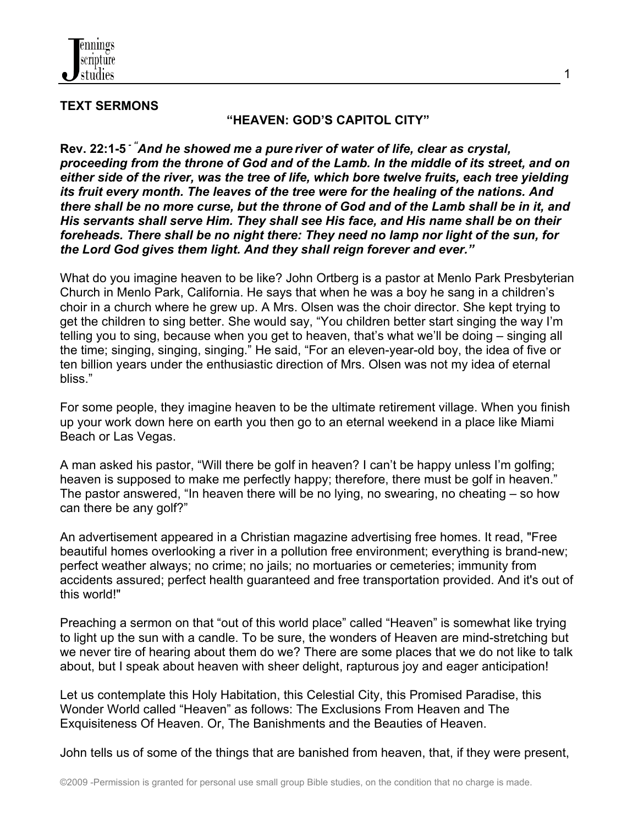

## **TEXT SERMONS**

#### **"HEAVEN: GOD'S CAPITOL CITY"**

1

**Rev. 22:1-5** *- "And he showed me a pure river of water of life, clear as crystal, proceeding from the throne of God and of the Lamb. In the middle of its street, and on either side of the river, was the tree of life, which bore twelve fruits, each tree yielding its fruit every month. The leaves of the tree were for the healing of the nations. And there shall be no more curse, but the throne of God and of the Lamb shall be in it, and His servants shall serve Him. They shall see His face, and His name shall be on their foreheads. There shall be no night there: They need no lamp nor light of the sun, for the Lord God gives them light. And they shall reign forever and ever."*

What do you imagine heaven to be like? John Ortberg is a pastor at Menlo Park Presbyterian Church in Menlo Park, California. He says that when he was a boy he sang in a children's choir in a church where he grew up. A Mrs. Olsen was the choir director. She kept trying to get the children to sing better. She would say, "You children better start singing the way I'm telling you to sing, because when you get to heaven, that's what we'll be doing – singing all the time; singing, singing, singing." He said, "For an eleven-year-old boy, the idea of five or ten billion years under the enthusiastic direction of Mrs. Olsen was not my idea of eternal bliss."

For some people, they imagine heaven to be the ultimate retirement village. When you finish up your work down here on earth you then go to an eternal weekend in a place like Miami Beach or Las Vegas.

A man asked his pastor, "Will there be golf in heaven? I can't be happy unless I'm golfing; heaven is supposed to make me perfectly happy; therefore, there must be golf in heaven." The pastor answered, "In heaven there will be no lying, no swearing, no cheating – so how can there be any golf?"

An advertisement appeared in a Christian magazine advertising free homes. It read, "Free beautiful homes overlooking a river in a pollution free environment; everything is brand-new; perfect weather always; no crime; no jails; no mortuaries or cemeteries; immunity from accidents assured; perfect health guaranteed and free transportation provided. And it's out of this world!"

Preaching a sermon on that "out of this world place" called "Heaven" is somewhat like trying to light up the sun with a candle. To be sure, the wonders of Heaven are mind-stretching but we never tire of hearing about them do we? There are some places that we do not like to talk about, but I speak about heaven with sheer delight, rapturous joy and eager anticipation!

Let us contemplate this Holy Habitation, this Celestial City, this Promised Paradise, this Wonder World called "Heaven" as follows: The Exclusions From Heaven and The Exquisiteness Of Heaven. Or, The Banishments and the Beauties of Heaven.

John tells us of some of the things that are banished from heaven, that, if they were present,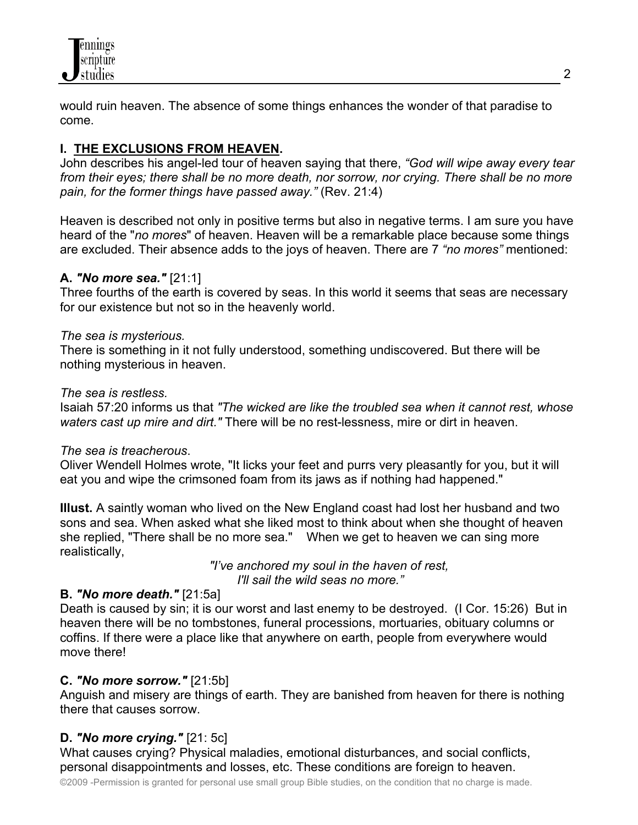

would ruin heaven. The absence of some things enhances the wonder of that paradise to come.

# **I. THE EXCLUSIONS FROM HEAVEN.**

John describes his angel-led tour of heaven saying that there, *"God will wipe away every tear from their eyes; there shall be no more death, nor sorrow, nor crying. There shall be no more pain, for the former things have passed away."* (Rev. 21:4)

Heaven is described not only in positive terms but also in negative terms. I am sure you have heard of the "*no mores*" of heaven. Heaven will be a remarkable place because some things are excluded. Their absence adds to the joys of heaven. There are 7 *"no mores"* mentioned:

## **A.** *"No more sea."* [21:1]

Three fourths of the earth is covered by seas. In this world it seems that seas are necessary for our existence but not so in the heavenly world.

### *The sea is mysterious.*

There is something in it not fully understood, something undiscovered. But there will be nothing mysterious in heaven.

#### *The sea is restless.*

Isaiah 57:20 informs us that *"The wicked are like the troubled sea when it cannot rest, whose waters cast up mire and dirt."* There will be no rest-lessness, mire or dirt in heaven.

### *The sea is treacherous*.

Oliver Wendell Holmes wrote, "It licks your feet and purrs very pleasantly for you, but it will eat you and wipe the crimsoned foam from its jaws as if nothing had happened."

**Illust.** A saintly woman who lived on the New England coast had lost her husband and two sons and sea. When asked what she liked most to think about when she thought of heaven she replied, "There shall be no more sea." When we get to heaven we can sing more realistically,

> *"I've anchored my soul in the haven of rest, I'll sail the wild seas no more."*

### **B.** *"No more death."* [21:5a]

Death is caused by sin; it is our worst and last enemy to be destroyed. (I Cor. 15:26) But in heaven there will be no tombstones, funeral processions, mortuaries, obituary columns or coffins. If there were a place like that anywhere on earth, people from everywhere would move there!

### **C.** *"No more sorrow."* [21:5b]

Anguish and misery are things of earth. They are banished from heaven for there is nothing there that causes sorrow.

### **D.** *"No more crying."* [21: 5c]

What causes crying? Physical maladies, emotional disturbances, and social conflicts, personal disappointments and losses, etc. These conditions are foreign to heaven.

©2009 -Permission is granted for personal use small group Bible studies, on the condition that no charge is made.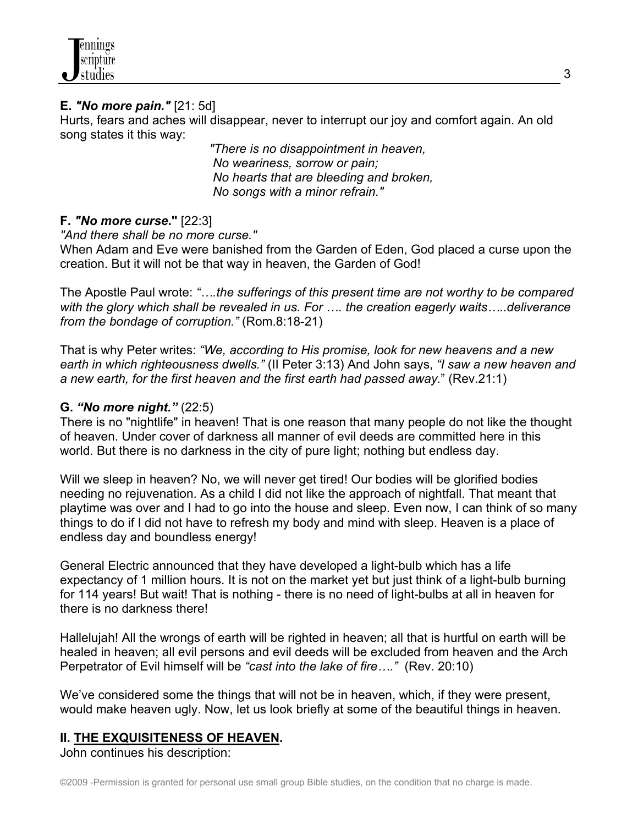# **E.** *"No more pain."* [21: 5d]

Hurts, fears and aches will disappear, never to interrupt our joy and comfort again. An old song states it this way:

> *"There is no disappointment in heaven, No weariness, sorrow or pain; No hearts that are bleeding and broken, No songs with a minor refrain."*

## **F.** *"No more curse***."** [22:3]

*"And there shall be no more curse."*

When Adam and Eve were banished from the Garden of Eden, God placed a curse upon the creation. But it will not be that way in heaven, the Garden of God!

The Apostle Paul wrote: *"….the sufferings of this present time are not worthy to be compared with the glory which shall be revealed in us. For …. the creation eagerly waits…..deliverance from the bondage of corruption."* (Rom.8:18-21)

That is why Peter writes: *"We, according to His promise, look for new heavens and a new earth in which righteousness dwells."* (II Peter 3:13) And John says, *"I saw a new heaven and a new earth, for the first heaven and the first earth had passed away.*" (Rev.21:1)

## **G.** *"No more night."* (22:5)

There is no "nightlife" in heaven! That is one reason that many people do not like the thought of heaven. Under cover of darkness all manner of evil deeds are committed here in this world. But there is no darkness in the city of pure light; nothing but endless day.

Will we sleep in heaven? No, we will never get tired! Our bodies will be glorified bodies needing no rejuvenation. As a child I did not like the approach of nightfall. That meant that playtime was over and I had to go into the house and sleep. Even now, I can think of so many things to do if I did not have to refresh my body and mind with sleep. Heaven is a place of endless day and boundless energy!

General Electric announced that they have developed a light-bulb which has a life expectancy of 1 million hours. It is not on the market yet but just think of a light-bulb burning for 114 years! But wait! That is nothing - there is no need of light-bulbs at all in heaven for there is no darkness there!

Hallelujah! All the wrongs of earth will be righted in heaven; all that is hurtful on earth will be healed in heaven; all evil persons and evil deeds will be excluded from heaven and the Arch Perpetrator of Evil himself will be *"cast into the lake of fire…."* (Rev. 20:10)

We've considered some the things that will not be in heaven, which, if they were present, would make heaven ugly. Now, let us look briefly at some of the beautiful things in heaven.

# **II. THE EXQUISITENESS OF HEAVEN.**

John continues his description: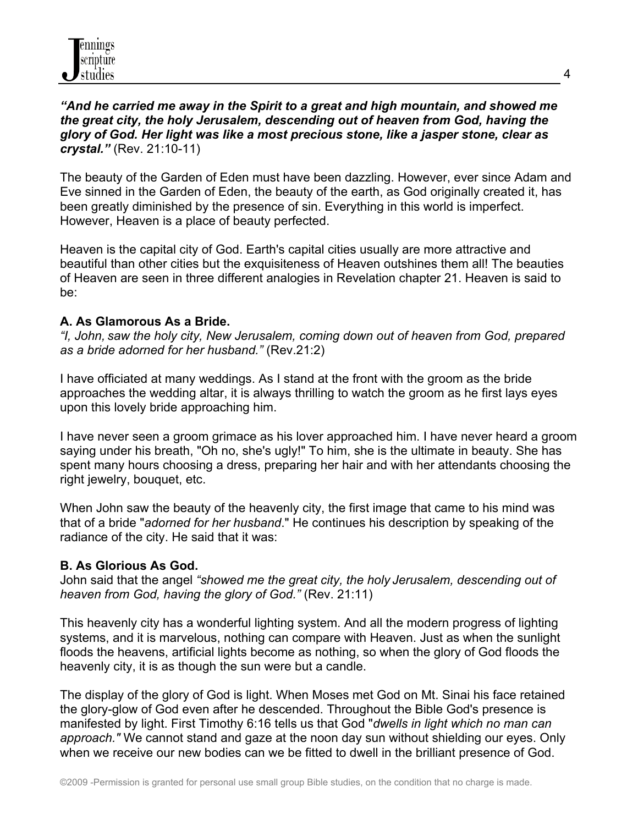## *"And he carried me away in the Spirit to a great and high mountain, and showed me the great city, the holy Jerusalem, descending out of heaven from God, having the glory of God. Her light was like a most precious stone, like a jasper stone, clear as crystal."* (Rev. 21:10-11)

The beauty of the Garden of Eden must have been dazzling. However, ever since Adam and Eve sinned in the Garden of Eden, the beauty of the earth, as God originally created it, has been greatly diminished by the presence of sin. Everything in this world is imperfect. However, Heaven is a place of beauty perfected.

Heaven is the capital city of God. Earth's capital cities usually are more attractive and beautiful than other cities but the exquisiteness of Heaven outshines them all! The beauties of Heaven are seen in three different analogies in Revelation chapter 21. Heaven is said to be:

## **A. As Glamorous As a Bride.**

*"I, John, saw the holy city, New Jerusalem, coming down out of heaven from God, prepared as a bride adorned for her husband."* (Rev.21:2)

I have officiated at many weddings. As I stand at the front with the groom as the bride approaches the wedding altar, it is always thrilling to watch the groom as he first lays eyes upon this lovely bride approaching him.

I have never seen a groom grimace as his lover approached him. I have never heard a groom saying under his breath, "Oh no, she's ugly!" To him, she is the ultimate in beauty. She has spent many hours choosing a dress, preparing her hair and with her attendants choosing the right jewelry, bouquet, etc.

When John saw the beauty of the heavenly city, the first image that came to his mind was that of a bride "*adorned for her husband*." He continues his description by speaking of the radiance of the city. He said that it was:

# **B. As Glorious As God.**

John said that the angel *"showed me the great city, the holy Jerusalem, descending out of heaven from God, having the glory of God."* (Rev. 21:11)

This heavenly city has a wonderful lighting system. And all the modern progress of lighting systems, and it is marvelous, nothing can compare with Heaven. Just as when the sunlight floods the heavens, artificial lights become as nothing, so when the glory of God floods the heavenly city, it is as though the sun were but a candle.

The display of the glory of God is light. When Moses met God on Mt. Sinai his face retained the glory-glow of God even after he descended. Throughout the Bible God's presence is manifested by light. First Timothy 6:16 tells us that God "*dwells in light which no man can approach."* We cannot stand and gaze at the noon day sun without shielding our eyes. Only when we receive our new bodies can we be fitted to dwell in the brilliant presence of God.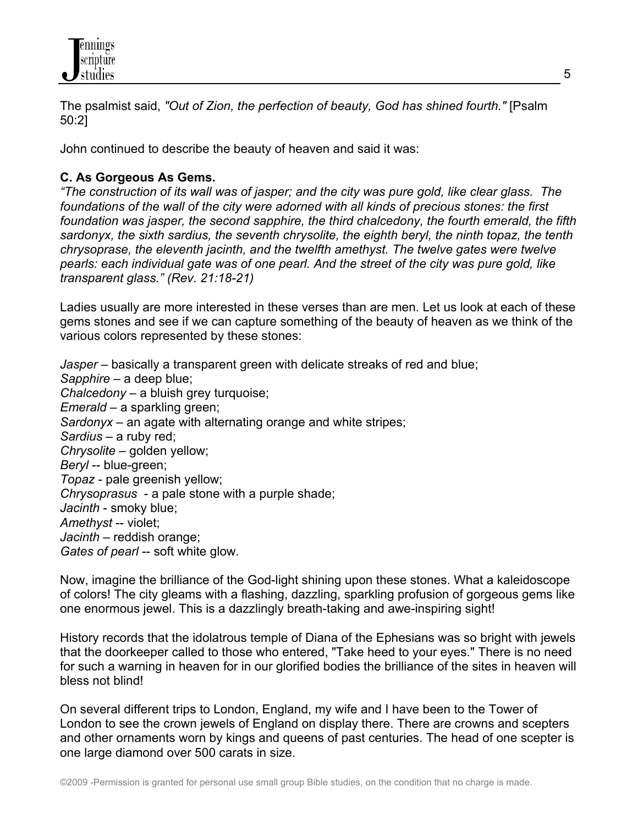

The psalmist said, *"Out of Zion, the perfection of beauty, God has shined fourth."* [Psalm 50:2]

John continued to describe the beauty of heaven and said it was:

# **C. As Gorgeous As Gems.**

*"The construction of its wall was of jasper; and the city was pure gold, like clear glass. The foundations of the wall of the city were adorned with all kinds of precious stones: the first foundation was jasper, the second sapphire, the third chalcedony, the fourth emerald, the fifth sardonyx, the sixth sardius, the seventh chrysolite, the eighth beryl, the ninth topaz, the tenth chrysoprase, the eleventh jacinth, and the twelfth amethyst. The twelve gates were twelve pearls: each individual gate was of one pearl. And the street of the city was pure gold, like transparent glass." (Rev. 21:18-21)*

Ladies usually are more interested in these verses than are men. Let us look at each of these gems stones and see if we can capture something of the beauty of heaven as we think of the various colors represented by these stones:

*Jasper* – basically a transparent green with delicate streaks of red and blue; *Sapphire* – a deep blue; *Chalcedony* – a bluish grey turquoise; *Emerald* – a sparkling green; *Sardonyx* – an agate with alternating orange and white stripes; *Sardius* – a ruby red; *Chrysolite* – golden yellow; *Beryl* -- blue-green; *Topaz* - pale greenish yellow; *Chrysoprasus* - a pale stone with a purple shade; *Jacinth* - smoky blue; *Amethyst* -- violet; *Jacinth* – reddish orange; *Gates of pearl* -- soft white glow.

Now, imagine the brilliance of the God-light shining upon these stones. What a kaleidoscope of colors! The city gleams with a flashing, dazzling, sparkling profusion of gorgeous gems like one enormous jewel. This is a dazzlingly breath-taking and awe-inspiring sight!

History records that the idolatrous temple of Diana of the Ephesians was so bright with jewels that the doorkeeper called to those who entered, "Take heed to your eyes." There is no need for such a warning in heaven for in our glorified bodies the brilliance of the sites in heaven will bless not blind!

On several different trips to London, England, my wife and I have been to the Tower of London to see the crown jewels of England on display there. There are crowns and scepters and other ornaments worn by kings and queens of past centuries. The head of one scepter is one large diamond over 500 carats in size.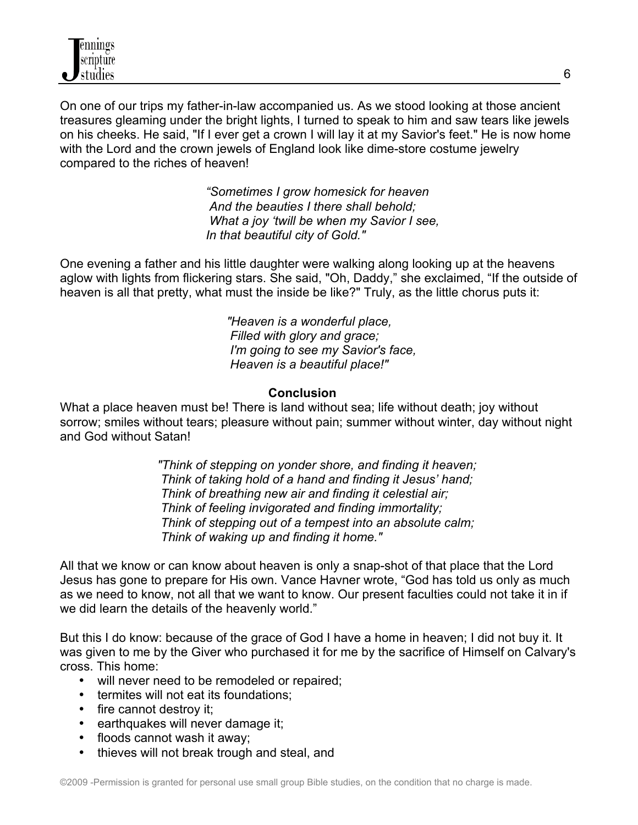On one of our trips my father-in-law accompanied us. As we stood looking at those ancient treasures gleaming under the bright lights, I turned to speak to him and saw tears like jewels on his cheeks. He said, "If I ever get a crown I will lay it at my Savior's feet." He is now home with the Lord and the crown jewels of England look like dime-store costume jewelry compared to the riches of heaven!

> *"Sometimes I grow homesick for heaven And the beauties I there shall behold; What a joy 'twill be when my Savior I see, In that beautiful city of Gold."*

One evening a father and his little daughter were walking along looking up at the heavens aglow with lights from flickering stars. She said, "Oh, Daddy," she exclaimed, "If the outside of heaven is all that pretty, what must the inside be like?" Truly, as the little chorus puts it:

> *"Heaven is a wonderful place, Filled with glory and grace; I'm going to see my Savior's face, Heaven is a beautiful place!"*

#### **Conclusion**

What a place heaven must be! There is land without sea; life without death; joy without sorrow; smiles without tears; pleasure without pain; summer without winter, day without night and God without Satan!

> *"Think of stepping on yonder shore, and finding it heaven; Think of taking hold of a hand and finding it Jesus' hand; Think of breathing new air and finding it celestial air; Think of feeling invigorated and finding immortality; Think of stepping out of a tempest into an absolute calm; Think of waking up and finding it home."*

All that we know or can know about heaven is only a snap-shot of that place that the Lord Jesus has gone to prepare for His own. Vance Havner wrote, "God has told us only as much as we need to know, not all that we want to know. Our present faculties could not take it in if we did learn the details of the heavenly world."

But this I do know: because of the grace of God I have a home in heaven; I did not buy it. It was given to me by the Giver who purchased it for me by the sacrifice of Himself on Calvary's cross. This home:

- will never need to be remodeled or repaired;
- termites will not eat its foundations;
- fire cannot destroy it;
- earthquakes will never damage it;
- floods cannot wash it away;
- thieves will not break trough and steal, and